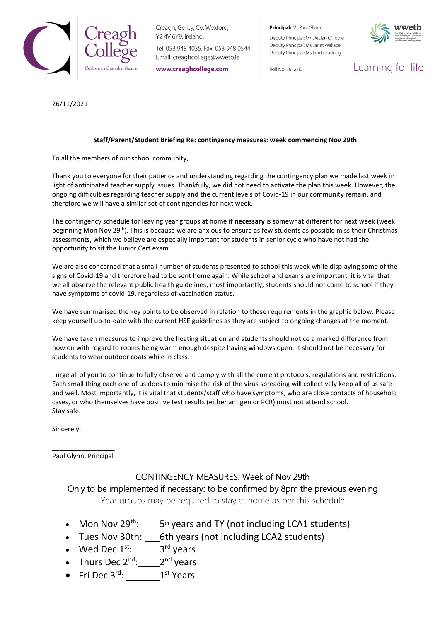

Creagh, Gorey, Co. Wexford, Y2 4V 6Y9, Ireland.

Tel: 053 948 4035, Fax: 053 948 0544. Email: creaghcollege@wwetb.ie

www.creaghcollege.com

Principal: Mr Paul Glynn

Deputy Principal: Mr Declan O'Toole Deputy Principal: Ms Janet Wallace Deputy Principal: Ms Linda Furlong

Roll No: 76127D



Learning for life

26/11/2021

#### **Staff/Parent/Student Briefing Re: contingency measures: week commencing Nov 29th**

To all the members of our school community,

Thank you to everyone for their patience and understanding regarding the contingency plan we made last week in light of anticipated teacher supply issues. Thankfully, we did not need to activate the plan this week. However, the ongoing difficulties regarding teacher supply and the current levels of Covid-19 in our community remain, and therefore we will have a similar set of contingencies for next week.

The contingency schedule for leaving year groups at home **if necessary** is somewhat different for next week (week beginning Mon Nov 29th). This is because we are anxious to ensure as few students as possible miss their Christmas assessments, which we believe are especially important for students in senior cycle who have not had the opportunity to sit the Junior Cert exam.

We are also concerned that a small number of students presented to school this week while displaying some of the signs of Covid-19 and therefore had to be sent home again. While school and exams are important, it is vital that we all observe the relevant public health guidelines; most importantly, students should not come to school if they have symptoms of covid-19, regardless of vaccination status.

We have summarised the key points to be observed in relation to these requirements in the graphic below. Please keep yourself up-to-date with the current HSE guidelines as they are subject to ongoing changes at the moment.

We have taken measures to improve the heating situation and students should notice a marked difference from now on with regard to rooms being warm enough despite having windows open. It should not be necessary for students to wear outdoor coats while in class.

I urge all of you to continue to fully observe and comply with all the current protocols, regulations and restrictions. Each small thing each one of us does to minimise the risk of the virus spreading will collectively keep all of us safe and well. Most importantly, it is vital that students/staff who have symptoms, who are close contacts of household cases, or who themselves have positive test results (either antigen or PCR) must not attend school. Stay safe.

Sincerely,

\_\_\_\_\_\_\_\_\_\_\_\_\_\_\_\_\_ Paul Glynn, Principal

### CONTINGENCY MEASURES: Week of Nov 29th

## Only to be implemented if necessary: to be confirmed by 8pm the previous evening

Year groups may be required to stay at home as per this schedule

- Mon Nov  $29^{th}$ :  $\_\_5^{th}$  years and TY (not including LCA1 students)
- Tues Nov 30th: \_\_\_6th years (not including LCA2 students)
- Wed Dec  $1^{\text{st}}$ :  $\_\_\_\_3^{\text{rd}}$  years
- Thurs Dec  $2^{nd}$ :  $2^{nd}$  years
- Fri Dec  $3^{\text{rd}}$ : \_\_\_\_\_\_\_\_\_1<sup>st</sup> Years